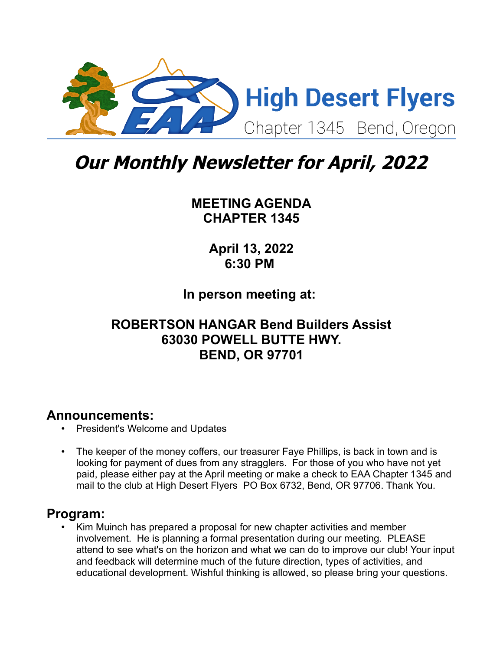

# **Our Monthly Newsletter for April, 2022**

# **MEETING AGENDA CHAPTER 1345**

**April 13, 2022 6:30 PM** 

**In person meeting at:** 

### **ROBERTSON HANGAR Bend Builders Assist 63030 POWELL BUTTE HWY. BEND, OR 97701**

### **Announcements:**

- President's Welcome and Updates
- The keeper of the money coffers, our treasurer Faye Phillips, is back in town and is looking for payment of dues from any stragglers. For those of you who have not yet paid, please either pay at the April meeting or make a check to EAA Chapter 1345 and mail to the club at High Desert Flyers PO Box 6732, Bend, OR 97706. Thank You.

### **Program:**

• Kim Muinch has prepared a proposal for new chapter activities and member involvement. He is planning a formal presentation during our meeting. PLEASE attend to see what's on the horizon and what we can do to improve our club! Your input and feedback will determine much of the future direction, types of activities, and educational development. Wishful thinking is allowed, so please bring your questions.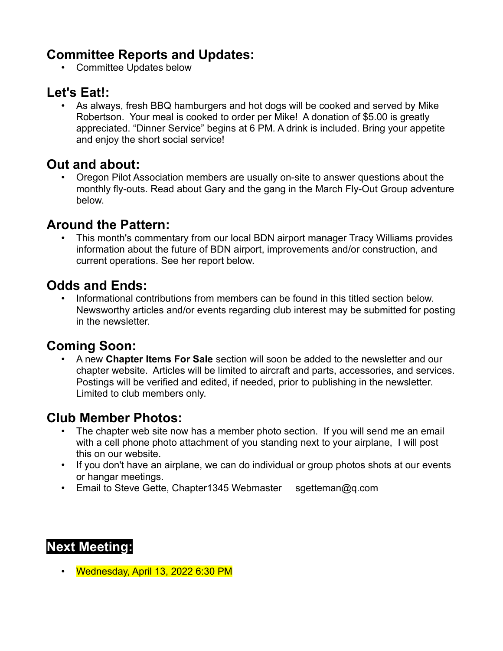## **Committee Reports and Updates:**

• Committee Updates below

# **Let's Eat!:**

• As always, fresh BBQ hamburgers and hot dogs will be cooked and served by Mike Robertson. Your meal is cooked to order per Mike! A donation of \$5.00 is greatly appreciated. "Dinner Service" begins at 6 PM. A drink is included. Bring your appetite and enjoy the short social service!

### **Out and about:**

• Oregon Pilot Association members are usually on-site to answer questions about the monthly fly-outs. Read about Gary and the gang in the March Fly-Out Group adventure below.

### **Around the Pattern:**

• This month's commentary from our local BDN airport manager Tracy Williams provides information about the future of BDN airport, improvements and/or construction, and current operations. See her report below.

# **Odds and Ends:**

• Informational contributions from members can be found in this titled section below. Newsworthy articles and/or events regarding club interest may be submitted for posting in the newsletter.

### **Coming Soon:**

• A new **Chapter Items For Sale** section will soon be added to the newsletter and our chapter website. Articles will be limited to aircraft and parts, accessories, and services. Postings will be verified and edited, if needed, prior to publishing in the newsletter. Limited to club members only.

### **Club Member Photos:**

- The chapter web site now has a member photo section. If you will send me an email with a cell phone photo attachment of you standing next to your airplane, I will post this on our website.
- If you don't have an airplane, we can do individual or group photos shots at our events or hangar meetings.
- Email to Steve Gette, Chapter1345 Webmaster sgetteman@q.com

# **Next Meeting:**

• Wednesday, April 13, 2022 6:30 PM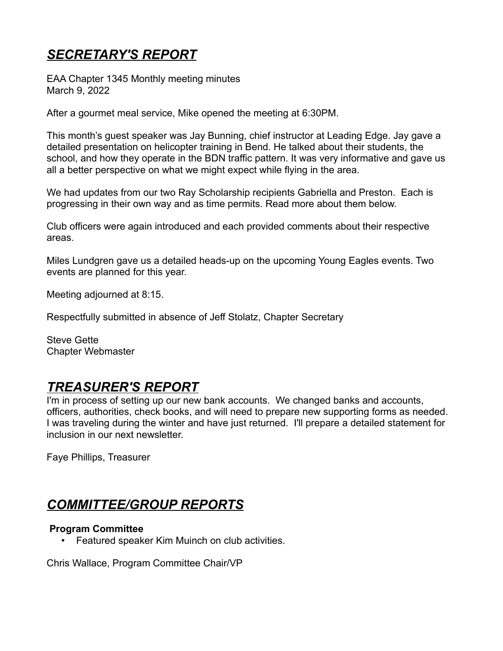# *SECRETARY'S REPORT*

EAA Chapter 1345 Monthly meeting minutes March 9, 2022

After a gourmet meal service, Mike opened the meeting at 6:30PM.

This month's guest speaker was Jay Bunning, chief instructor at Leading Edge. Jay gave a detailed presentation on helicopter training in Bend. He talked about their students, the school, and how they operate in the BDN traffic pattern. It was very informative and gave us all a better perspective on what we might expect while flying in the area.

We had updates from our two Ray Scholarship recipients Gabriella and Preston. Each is progressing in their own way and as time permits. Read more about them below.

Club officers were again introduced and each provided comments about their respective areas.

Miles Lundgren gave us a detailed heads-up on the upcoming Young Eagles events. Two events are planned for this year.

Meeting adjourned at 8:15.

Respectfully submitted in absence of Jeff Stolatz, Chapter Secretary

Steve Gette Chapter Webmaster

### *TREASURER'S REPORT*

I'm in process of setting up our new bank accounts. We changed banks and accounts, officers, authorities, check books, and will need to prepare new supporting forms as needed. I was traveling during the winter and have just returned. I'll prepare a detailed statement for inclusion in our next newsletter.

Faye Phillips, Treasurer

### *COMMITTEE/GROUP REPORTS*

#### **Program Committee**

• Featured speaker Kim Muinch on club activities.

Chris Wallace, Program Committee Chair/VP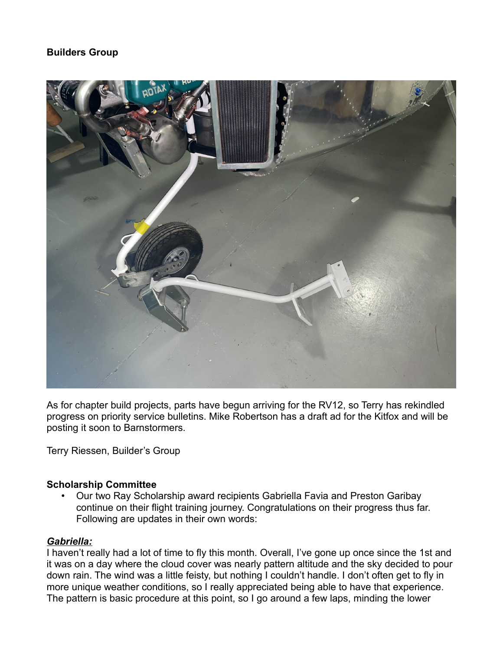#### **Builders Group**



As for chapter build projects, parts have begun arriving for the RV12, so Terry has rekindled progress on priority service bulletins. Mike Robertson has a draft ad for the Kitfox and will be posting it soon to Barnstormers.

Terry Riessen, Builder's Group

#### **Scholarship Committee**

• Our two Ray Scholarship award recipients Gabriella Favia and Preston Garibay continue on their flight training journey. Congratulations on their progress thus far. Following are updates in their own words:

#### *Gabriella:*

I haven't really had a lot of time to fly this month. Overall, I've gone up once since the 1st and it was on a day where the cloud cover was nearly pattern altitude and the sky decided to pour down rain. The wind was a little feisty, but nothing I couldn't handle. I don't often get to fly in more unique weather conditions, so I really appreciated being able to have that experience. The pattern is basic procedure at this point, so I go around a few laps, minding the lower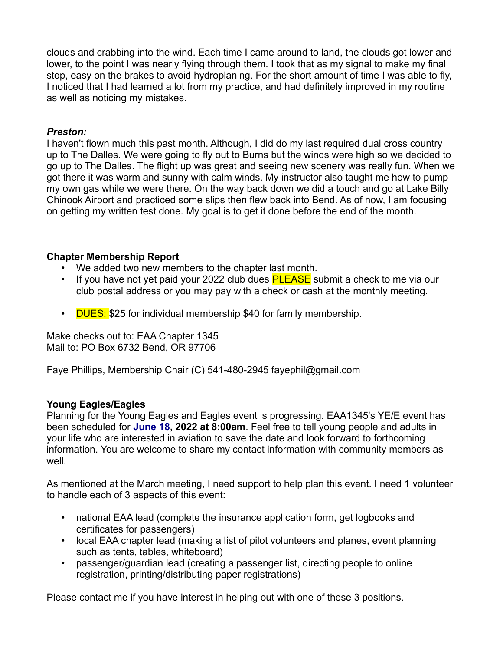clouds and crabbing into the wind. Each time I came around to land, the clouds got lower and lower, to the point I was nearly flying through them. I took that as my signal to make my final stop, easy on the brakes to avoid hydroplaning. For the short amount of time I was able to fly, I noticed that I had learned a lot from my practice, and had definitely improved in my routine as well as noticing my mistakes.

#### *Preston:*

I haven't flown much this past month. Although, I did do my last required dual cross country up to The Dalles. We were going to fly out to Burns but the winds were high so we decided to go up to The Dalles. The flight up was great and seeing new scenery was really fun. When we got there it was warm and sunny with calm winds. My instructor also taught me how to pump my own gas while we were there. On the way back down we did a touch and go at Lake Billy Chinook Airport and practiced some slips then flew back into Bend. As of now, I am focusing on getting my written test done. My goal is to get it done before the end of the month.

#### **Chapter Membership Report**

- We added two new members to the chapter last month.
- If you have not yet paid your 2022 club dues **PLEASE** submit a check to me via our club postal address or you may pay with a check or cash at the monthly meeting.
- **DUES:** \$25 for individual membership \$40 for family membership.

Make checks out to: EAA Chapter 1345 Mail to: PO Box 6732 Bend, OR 97706

Faye Phillips, Membership Chair (C) 541-480-2945 fayephil@gmail.com

#### **Young Eagles/Eagles**

Planning for the Young Eagles and Eagles event is progressing. EAA1345's YE/E event has been scheduled for **June 18, 2022 at 8:00am**. Feel free to tell young people and adults in your life who are interested in aviation to save the date and look forward to forthcoming information. You are welcome to share my contact information with community members as well

As mentioned at the March meeting, I need support to help plan this event. I need 1 volunteer to handle each of 3 aspects of this event:

- national EAA lead (complete the insurance application form, get logbooks and certificates for passengers)
- local EAA chapter lead (making a list of pilot volunteers and planes, event planning such as tents, tables, whiteboard)
- passenger/guardian lead (creating a passenger list, directing people to online registration, printing/distributing paper registrations)

Please contact me if you have interest in helping out with one of these 3 positions.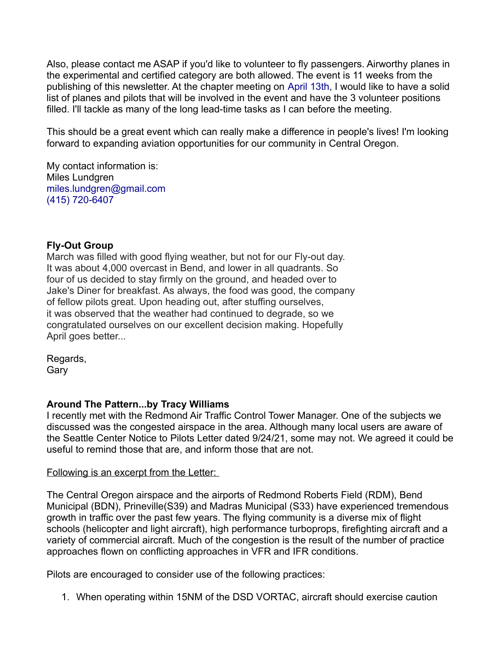Also, please contact me ASAP if you'd like to volunteer to fly passengers. Airworthy planes in the experimental and certified category are both allowed. The event is 11 weeks from the publishing of this newsletter. At the chapter meeting on April 13th, I would like to have a solid list of planes and pilots that will be involved in the event and have the 3 volunteer positions filled. I'll tackle as many of the long lead-time tasks as I can before the meeting.

This should be a great event which can really make a difference in people's lives! I'm looking forward to expanding aviation opportunities for our community in Central Oregon.

My contact information is: Miles Lundgren [miles.lundgren@gmail.com](mailto:miles.lundgren@gmail.com) [\(415\) 720-6407](callto:(415)%20720-6407)

#### **Fly-Out Group**

March was filled with good flying weather, but not for our Fly-out day. It was about 4,000 overcast in Bend, and lower in all quadrants. So four of us decided to stay firmly on the ground, and headed over to Jake's Diner for breakfast. As always, the food was good, the company of fellow pilots great. Upon heading out, after stuffing ourselves, it was observed that the weather had continued to degrade, so we congratulated ourselves on our excellent decision making. Hopefully April goes better...

Regards, **Gary** 

#### **Around The Pattern...by Tracy Williams**

I recently met with the Redmond Air Traffic Control Tower Manager. One of the subjects we discussed was the congested airspace in the area. Although many local users are aware of the Seattle Center Notice to Pilots Letter dated 9/24/21, some may not. We agreed it could be useful to remind those that are, and inform those that are not.

#### Following is an excerpt from the Letter:

The Central Oregon airspace and the airports of Redmond Roberts Field (RDM), Bend Municipal (BDN), Prineville(S39) and Madras Municipal (S33) have experienced tremendous growth in traffic over the past few years. The flying community is a diverse mix of flight schools (helicopter and light aircraft), high performance turboprops, firefighting aircraft and a variety of commercial aircraft. Much of the congestion is the result of the number of practice approaches flown on conflicting approaches in VFR and IFR conditions.

Pilots are encouraged to consider use of the following practices:

1. When operating within 15NM of the DSD VORTAC, aircraft should exercise caution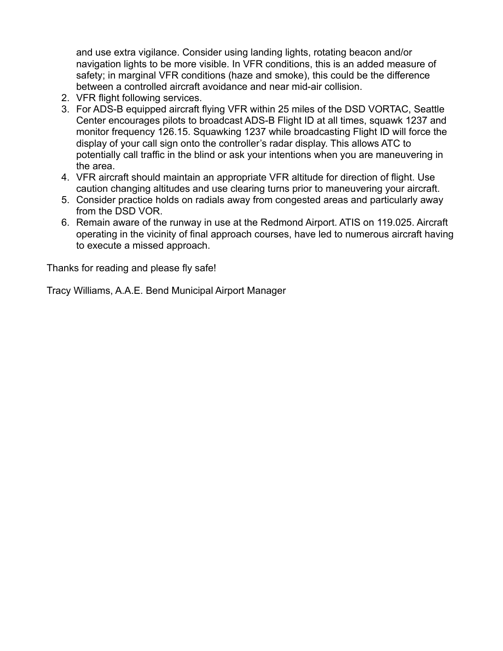and use extra vigilance. Consider using landing lights, rotating beacon and/or navigation lights to be more visible. In VFR conditions, this is an added measure of safety; in marginal VFR conditions (haze and smoke), this could be the difference between a controlled aircraft avoidance and near mid-air collision.

- 2. VFR flight following services.
- 3. For ADS-B equipped aircraft flying VFR within 25 miles of the DSD VORTAC, Seattle Center encourages pilots to broadcast ADS-B Flight ID at all times, squawk 1237 and monitor frequency 126.15. Squawking 1237 while broadcasting Flight ID will force the display of your call sign onto the controller's radar display. This allows ATC to potentially call traffic in the blind or ask your intentions when you are maneuvering in the area.
- 4. VFR aircraft should maintain an appropriate VFR altitude for direction of flight. Use caution changing altitudes and use clearing turns prior to maneuvering your aircraft.
- 5. Consider practice holds on radials away from congested areas and particularly away from the DSD VOR.
- 6. Remain aware of the runway in use at the Redmond Airport. ATIS on 119.025. Aircraft operating in the vicinity of final approach courses, have led to numerous aircraft having to execute a missed approach.

Thanks for reading and please fly safe!

Tracy Williams, A.A.E. Bend Municipal Airport Manager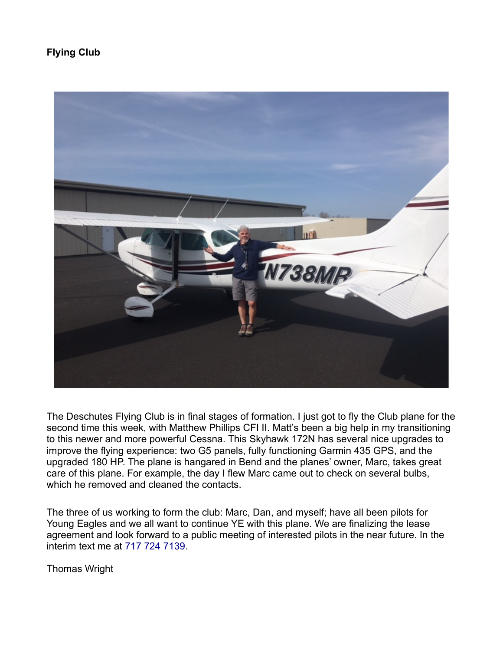#### **Flying Club**



The Deschutes Flying Club is in final stages of formation. I just got to fly the Club plane for the second time this week, with Matthew Phillips CFI II. Matt's been a big help in my transitioning to this newer and more powerful Cessna. This Skyhawk 172N has several nice upgrades to improve the flying experience: two G5 panels, fully functioning Garmin 435 GPS, and the upgraded 180 HP. The plane is hangared in Bend and the planes' owner, Marc, takes great care of this plane. For example, the day I flew Marc came out to check on several bulbs, which he removed and cleaned the contacts.

The three of us working to form the club: Marc, Dan, and myself; have all been pilots for Young Eagles and we all want to continue YE with this plane. We are finalizing the lease agreement and look forward to a public meeting of interested pilots in the near future. In the interim text me at [717 724 7139.](callto:717%20724%207139)

Thomas Wright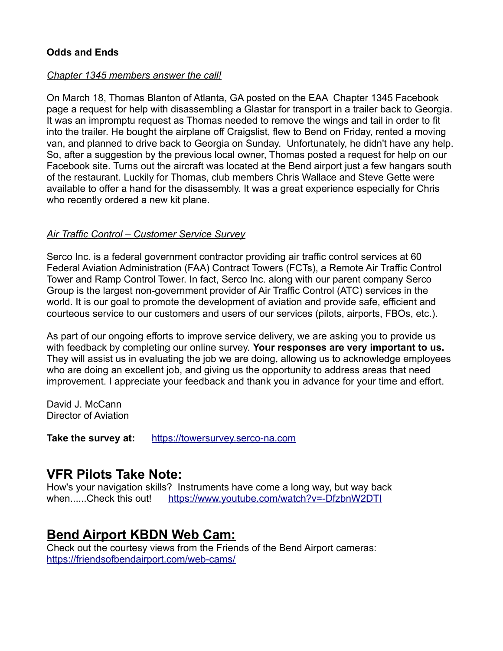#### **Odds and Ends**

#### *Chapter 1345 members answer the call!*

On March 18, Thomas Blanton of Atlanta, GA posted on the EAA Chapter 1345 Facebook page a request for help with disassembling a Glastar for transport in a trailer back to Georgia. It was an impromptu request as Thomas needed to remove the wings and tail in order to fit into the trailer. He bought the airplane off Craigslist, flew to Bend on Friday, rented a moving van, and planned to drive back to Georgia on Sunday. Unfortunately, he didn't have any help. So, after a suggestion by the previous local owner, Thomas posted a request for help on our Facebook site. Turns out the aircraft was located at the Bend airport just a few hangars south of the restaurant. Luckily for Thomas, club members Chris Wallace and Steve Gette were available to offer a hand for the disassembly. It was a great experience especially for Chris who recently ordered a new kit plane.

#### *Air Traffic Control – Customer Service Survey*

Serco Inc. is a federal government contractor providing air traffic control services at 60 Federal Aviation Administration (FAA) Contract Towers (FCTs), a Remote Air Traffic Control Tower and Ramp Control Tower. In fact, Serco Inc. along with our parent company Serco Group is the largest non-government provider of Air Traffic Control (ATC) services in the world. It is our goal to promote the development of aviation and provide safe, efficient and courteous service to our customers and users of our services (pilots, airports, FBOs, etc.).

As part of our ongoing efforts to improve service delivery, we are asking you to provide us with feedback by completing our online survey. **Your responses are very important to us.** They will assist us in evaluating the job we are doing, allowing us to acknowledge employees who are doing an excellent job, and giving us the opportunity to address areas that need improvement. I appreciate your feedback and thank you in advance for your time and effort.

David J. McCann Director of Aviation

**Take the survey at:** [https://towersurvey.serco-na.com](https://towersurvey.serco-na.com/)

### **VFR Pilots Take Note:**

How's your navigation skills? Instruments have come a long way, but way back when......Check this out! <https://www.youtube.com/watch?v=-DfzbnW2DTI>

### **Bend Airport KBDN Web Cam:**

Check out the courtesy views from the Friends of the Bend Airport cameras: <https://friendsofbendairport.com/web-cams/>